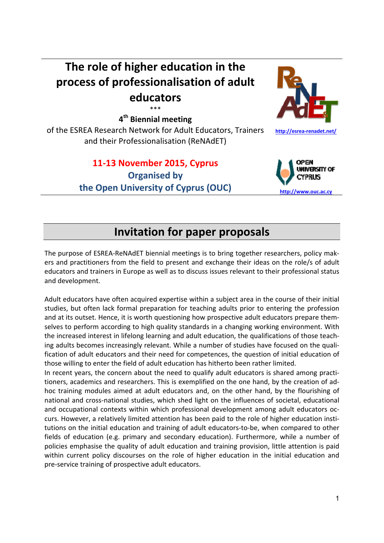# **The role of higher education in the process of professionalisation of adult educators**

\*\*\*

**4th Biennial meeting**  of the ESREA Research Network for Adult Educators, Trainers and their Professionalisation (ReNAdET)

## **11‐13 November 2015, Cyprus Organised by the Open University of Cyprus (OUC) http://www.ouc.ac.cy**



WIMERSITY OF

## **Invitation for paper proposals**

The purpose of ESREA‐ReNAdET biennial meetings is to bring together researchers, policy mak‐ ers and practitioners from the field to present and exchange their ideas on the role/s of adult educators and trainers in Europe as well as to discuss issues relevant to their professional status and development.

Adult educators have often acquired expertise within a subject area in the course of their initial studies, but often lack formal preparation for teaching adults prior to entering the profession and at its outset. Hence, it is worth questioning how prospective adult educators prepare themselves to perform according to high quality standards in a changing working environment. With the increased interest in lifelong learning and adult education, the qualifications of those teach‐ ing adults becomes increasingly relevant. While a number of studies have focused on the quali‐ fication of adult educators and their need for competences, the question of initial education of those willing to enter the field of adult education has hitherto been rather limited.

In recent years, the concern about the need to qualify adult educators is shared among practitioners, academics and researchers. This is exemplified on the one hand, by the creation of ad‐ hoc training modules aimed at adult educators and, on the other hand, by the flourishing of national and cross‐national studies, which shed light on the influences of societal, educational and occupational contexts within which professional development among adult educators oc‐ curs. However, a relatively limited attention has been paid to the role of higher education insti‐ tutions on the initial education and training of adult educators‐to‐be, when compared to other fields of education (e.g. primary and secondary education). Furthermore, while a number of policies emphasise the quality of adult education and training provision, little attention is paid within current policy discourses on the role of higher education in the initial education and pre‐service training of prospective adult educators.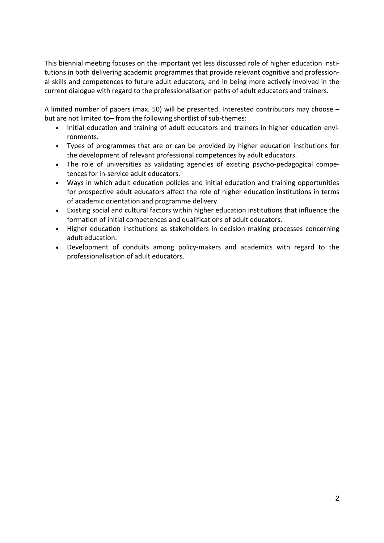This biennial meeting focuses on the important yet less discussed role of higher education insti‐ tutions in both delivering academic programmes that provide relevant cognitive and profession‐ al skills and competences to future adult educators, and in being more actively involved in the current dialogue with regard to the professionalisation paths of adult educators and trainers.

A limited number of papers (max. 50) will be presented. Interested contributors may choose – but are not limited to– from the following shortlist of sub-themes:

- Initial education and training of adult educators and trainers in higher education environments.
- Types of programmes that are or can be provided by higher education institutions for the development of relevant professional competences by adult educators.
- The role of universities as validating agencies of existing psycho-pedagogical competences for in‐service adult educators.
- Ways in which adult education policies and initial education and training opportunities for prospective adult educators affect the role of higher education institutions in terms of academic orientation and programme delivery.
- Existing social and cultural factors within higher education institutions that influence the formation of initial competences and qualifications of adult educators.
- Higher education institutions as stakeholders in decision making processes concerning adult education.
- Development of conduits among policy‐makers and academics with regard to the professionalisation of adult educators.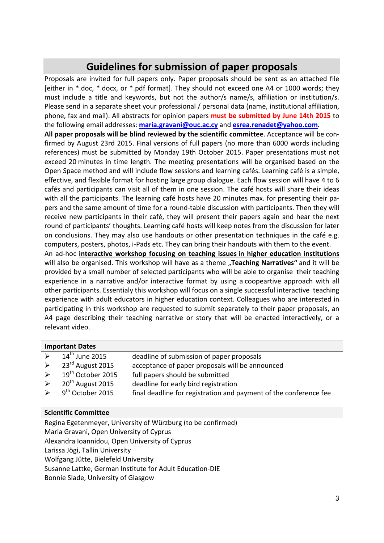## **Guidelines for submission of paper proposals**

Proposals are invited for full papers only. Paper proposals should be sent as an attached file [either in \*.doc, \*.docx, or \*.pdf format]. They should not exceed one A4 or 1000 words; they must include a title and keywords, but not the author/s name/s, affiliation or institution/s. Please send in a separate sheet your professional / personal data (name, institutional affiliation, phone, fax and mail). All abstracts for opinion papers **must be submitted by June 14th 2015** to the following email addresses: **maria.gravani@ouc.ac.cy** and **esrea.renadet@yahoo.com**.

**All paper proposals will be blind reviewed by the scientific committee**. Acceptance will be con‐ firmed by August 23rd 2015. Final versions of full papers (no more than 6000 words including references) must be submitted by Monday 19th October 2015. Paper presentations must not exceed 20 minutes in time length. The meeting presentations will be organised based on the Open Space method and will include flow sessions and learning cafés. Learning café is a simple, effective, and flexible format for hosting large group dialogue. Each flow session will have 4 to 6 cafés and participants can visit all of them in one session. The café hosts will share their ideas with all the participants. The learning café hosts have 20 minutes max. for presenting their papers and the same amount of time for a round-table discussion with participants. Then they will receive new participants in their café, they will present their papers again and hear the next round of participants' thoughts. Learning café hosts will keep notes from the discussion for later on conclusions. They may also use handouts or other presentation techniques in the café e.g. computers, posters, photos, i‐Pads etc. They can bring their handouts with them to the event.

An ad‐hoc **interactive workshop focusing on teaching issues in higher education institutions** will also be organised. This workshop will have as a theme "Teaching Narratives" and it will be provided by a small number of selected participants who will be able to organise their teaching experience in a narrative and/or interactive format by using a coopeartive approach with all other participants. Essentialy this workshop will focus on a single successful interactive teaching experience with adult educators in higher education context. Colleagues who are interested in participating in this workshop are requested to submit separately to their paper proposals, an A4 page describing their teaching narrative or story that will be enacted interactively, or a relevant video.

| <b>Important Dates</b> |                               |                                                                   |  |  |
|------------------------|-------------------------------|-------------------------------------------------------------------|--|--|
|                        | $14th$ June 2015              | deadline of submission of paper proposals                         |  |  |
| $\triangleright$       | $23^{\text{rd}}$ August 2015  | acceptance of paper proposals will be announced                   |  |  |
| $\triangleright$       | 19 <sup>th</sup> October 2015 | full papers should be submitted                                   |  |  |
| $\blacktriangleright$  | 20 <sup>th</sup> August 2015  | deadline for early bird registration                              |  |  |
| $\rightarrow$          | 9 <sup>th</sup> October 2015  | final deadline for registration and payment of the conference fee |  |  |
|                        |                               |                                                                   |  |  |

#### **Scientific Committee**

Regina Egetenmeyer, University of Würzburg (to be confirmed) Maria Gravani, Open University of Cyprus Alexandra Ioannidou, Open University of Cyprus Larissa Jögi, Tallin University Wolfgang Jütte, Bielefeld University Susanne Lattke, German Institute for Adult Education‐DIE Bonnie Slade, University of Glasgow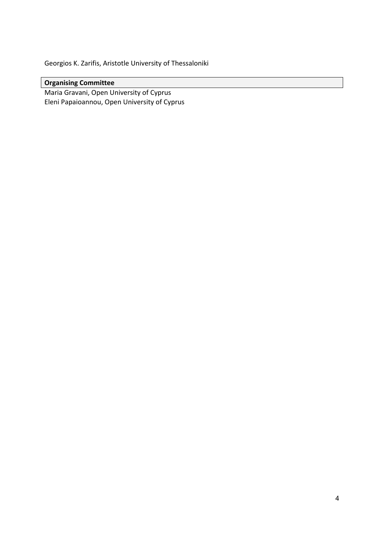Georgios K. Zarifis, Aristotle University of Thessaloniki

#### **Organising Committee**

Maria Gravani, Open University of Cyprus Eleni Papaioannou, Open University of Cyprus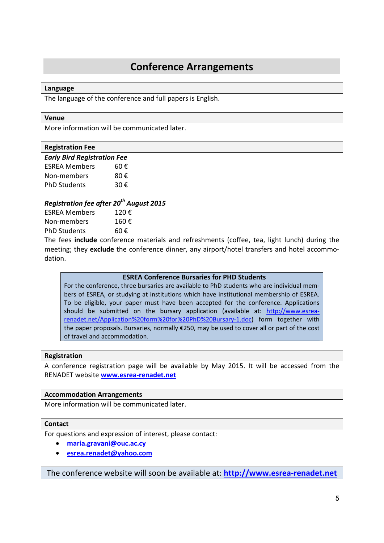## **Conference Arrangements**

#### **Language**

The language of the conference and full papers is English.

#### **Venue**

More information will be communicated later.

#### **Registration Fee**

| <b>Early Bird Registration Fee</b> |      |  |  |
|------------------------------------|------|--|--|
| <b>ESREA Members</b>               | 60 € |  |  |
| Non-members                        | 80€  |  |  |
| <b>PhD Students</b>                | 30€  |  |  |

#### *Registration fee after 20th August 2015*

| <b>ESREA Members</b>        | 120€ |
|-----------------------------|------|
| Non-members                 | 160€ |
| <b>PhD Students</b>         | 60€  |
| The fees include conference |      |

The fees **include** conference materials and refreshments (coffee, tea, light lunch) during the meeting; they exclude the conference dinner, any airport/hotel transfers and hotel accommodation.

#### **ESREA Conference Bursaries for PHD Students**

For the conference, three bursaries are available to PhD students who are individual members of ESREA, or studying at institutions which have institutional membership of ESREA. To be eligible, your paper must have been accepted for the conference. Applications should be submitted on the bursary application (available at: http://www.esrearenadet.net/Application%20form%20for%20PhD%20Bursary‐1.doc) form together with the paper proposals. Bursaries, normally €250, may be used to cover all or part of the cost of travel and accommodation.

#### **Registration**

A conference registration page will be available by May 2015. It will be accessed from the RENADET website **www.esrea‐renadet.net**

#### **Accommodation Arrangements**

More information will be communicated later.

#### **Contact**

For questions and expression of interest, please contact:

- **maria.gravani@ouc.ac.cy**
- **esrea.renadet@yahoo.com**

The conference website will soon be available at: **http://www.esrea‐renadet.net**